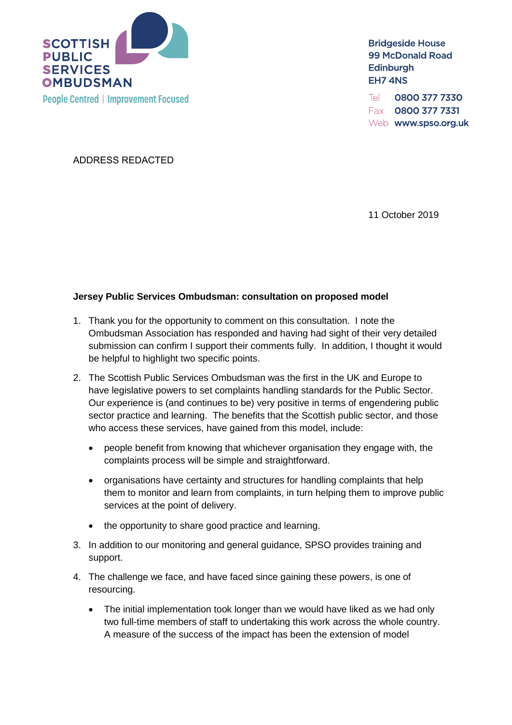

**Bridgeside House 99 McDonald Road Edinburgh** EH7 4NS

0800 377 7330 Tel Fax 0800 377 7331 Web www.spso.org.uk

ADDRESS REDACTED

11 October 2019

## **Jersey Public Services Ombudsman: consultation on proposed model**

- 1. Thank you for the opportunity to comment on this consultation. I note the Ombudsman Association has responded and having had sight of their very detailed submission can confirm I support their comments fully. In addition, I thought it would be helpful to highlight two specific points.
- 2. The Scottish Public Services Ombudsman was the first in the UK and Europe to have legislative powers to set complaints handling standards for the Public Sector. Our experience is (and continues to be) very positive in terms of engendering public sector practice and learning. The benefits that the Scottish public sector, and those who access these services, have gained from this model, include:
	- people benefit from knowing that whichever organisation they engage with, the complaints process will be simple and straightforward.
	- organisations have certainty and structures for handling complaints that help them to monitor and learn from complaints, in turn helping them to improve public services at the point of delivery.
	- the opportunity to share good practice and learning.
- 3. In addition to our monitoring and general guidance, SPSO provides training and support.
- 4. The challenge we face, and have faced since gaining these powers, is one of resourcing.
	- The initial implementation took longer than we would have liked as we had only two full-time members of staff to undertaking this work across the whole country. A measure of the success of the impact has been the extension of model